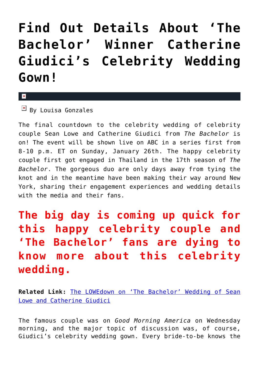## **[Find Out Details About 'The](https://cupidspulse.com/68299/the-bachelor-catherine-giudici-wedding-gown/) [Bachelor' Winner Catherine](https://cupidspulse.com/68299/the-bachelor-catherine-giudici-wedding-gown/) [Giudici's Celebrity Wedding](https://cupidspulse.com/68299/the-bachelor-catherine-giudici-wedding-gown/) [Gown!](https://cupidspulse.com/68299/the-bachelor-catherine-giudici-wedding-gown/)**

## $\mathbf{x}$

 $\boxed{\times}$  By Louisa Gonzales

The final countdown to the celebrity wedding of celebrity couple Sean Lowe and Catherine Giudici from *The Bachelor* is on! The event will be shown live on ABC in a series first from 8-10 p.m. ET on Sunday, January 26th. The happy celebrity couple first got engaged in Thailand in the 17th season of *The Bachelor*. The gorgeous duo are only days away from tying the knot and in the meantime have been making their way around New York, sharing their engagement experiences and wedding details with the media and their fans.

## **The big day is coming up quick for this happy celebrity couple and 'The Bachelor' fans are dying to know more about this celebrity wedding.**

**Related Link:** [The LOWEdown on 'The Bachelor' Wedding of Sean](http://cupidspulse.com/bachelor-wedding-of-sean-lowe-and-catherine-giudici/) [Lowe and Catherine Giudici](http://cupidspulse.com/bachelor-wedding-of-sean-lowe-and-catherine-giudici/)

The famous couple was on *Good Morning America* on Wednesday morning, and the major topic of discussion was, of course, Giudici's celebrity wedding gown. Every bride-to-be knows the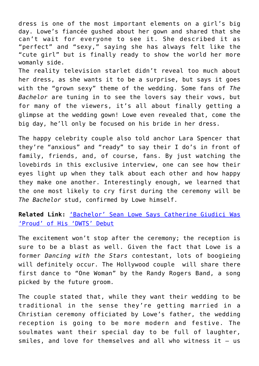dress is one of the most important elements on a girl's big day. Lowe's fiancée gushed about her gown and shared that she can't wait for everyone to see it. She described it as "perfect" and "sexy," saying she has always felt like the "cute girl" but is finally ready to show the world her more womanly side.

The reality television starlet didn't reveal too much about her dress, as she wants it to be a surprise, but says it goes with the "grown sexy" theme of the wedding. Some fans of *The Bachelor* are tuning in to see the lovers say their vows, but for many of the viewers, it's all about finally getting a glimpse at the wedding gown! Lowe even revealed that, come the big day, he'll only be focused on his bride in her dress.

The happy celebrity couple also told anchor Lara Spencer that they're "anxious" and "ready" to say their I do's in front of family, friends, and, of course, fans. By just watching the lovebirds in this exclusive interview, one can see how their eyes light up when they talk about each other and how happy they make one another. Interestingly enough, we learned that the one most likely to cry first during the ceremony will be *The Bachelor* stud, confirmed by Lowe himself.

**Related Link:** ['Bachelor' Sean Lowe Says Catherine Giudici Was](http://cupidspulse.com/bachelor-sean-lowe-says-catherine-giudici-proud-dwts-debut/) ['Proud' of His 'DWTS' Debut](http://cupidspulse.com/bachelor-sean-lowe-says-catherine-giudici-proud-dwts-debut/)

The excitement won't stop after the ceremony; the reception is sure to be a blast as well. Given the fact that Lowe is a former *Dancing with the Stars* contestant, lots of boogieing will definitely occur. The Hollywood couple will share there first dance to "One Woman" by the Randy Rogers Band, a song picked by the future groom.

The couple stated that, while they want their wedding to be traditional in the sense they're getting married in a Christian ceremony officiated by Lowe's father, the wedding reception is going to be more modern and festive. The soulmates want their special day to be full of laughter, smiles, and love for themselves and all who witness it — us